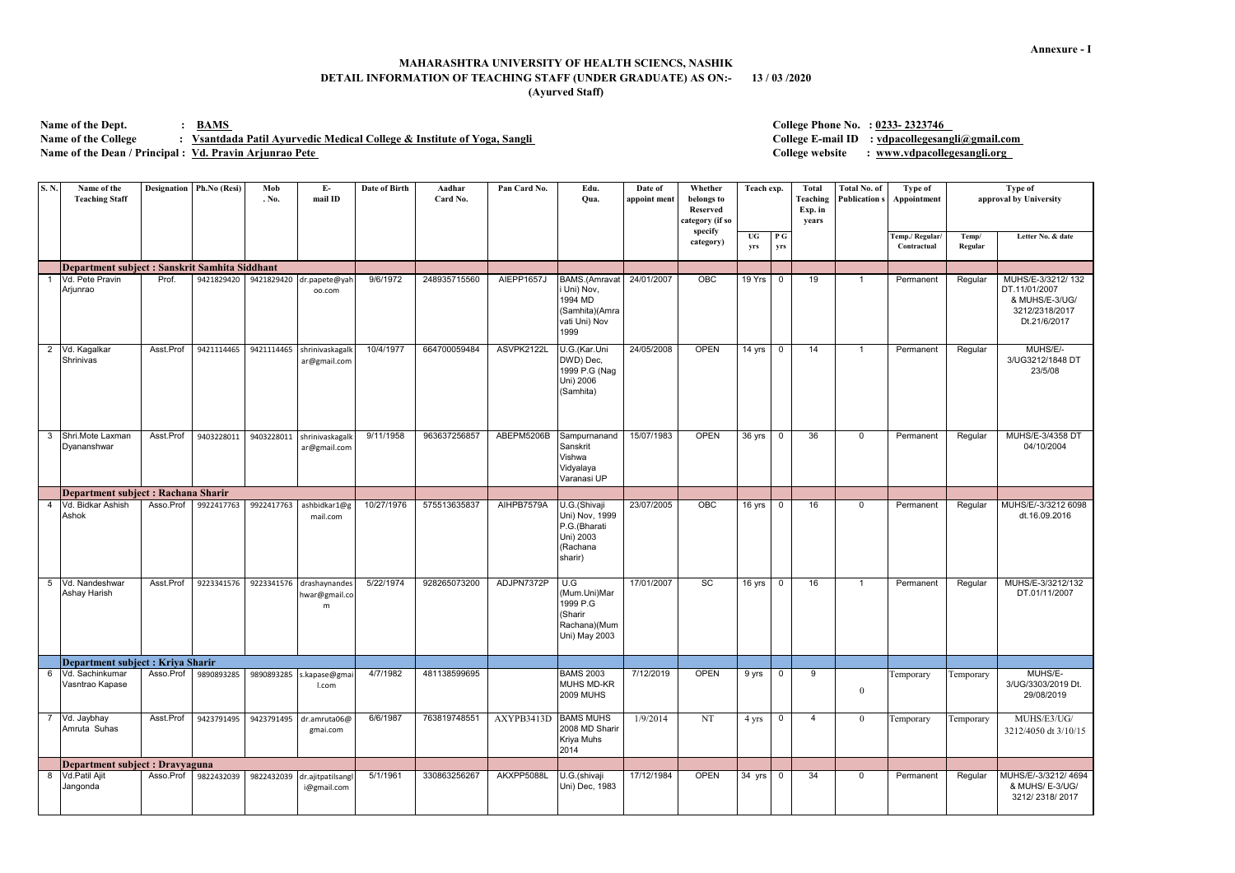Name of the Dept.  $\cdot$  **BAMS** Name of the College : Vsantdada Patil Ayurvedic Medical College & Institute of Yoga, Sangli **Name of the Dean / Principal : Vd. Pravin Arjunrao Pete** 

| S.N.           | Name of the<br><b>Teaching Staff</b>           | <b>Designation</b> | Ph.No (Resi) | Mob<br>. No. | $E-$<br>mail ID                     | Date of Birth | Aadhar<br>Card No. | Pan Card No.         | Edu.<br>Qua.                                                                               | Date of<br>appoint ment | Whether<br>belongs to<br><b>Reserved</b><br>category (if so | Teach exp. |            | <b>Total</b><br>Teaching<br>Exp. in<br>years | <b>Total No. of</b><br><b>Publication s</b> | Type of<br>Appointment         | <b>Type of</b><br>approval by University |                                                                                        |
|----------------|------------------------------------------------|--------------------|--------------|--------------|-------------------------------------|---------------|--------------------|----------------------|--------------------------------------------------------------------------------------------|-------------------------|-------------------------------------------------------------|------------|------------|----------------------------------------------|---------------------------------------------|--------------------------------|------------------------------------------|----------------------------------------------------------------------------------------|
|                |                                                |                    |              |              |                                     |               |                    |                      |                                                                                            |                         | specify<br>category)                                        | UG<br>yrs  | P G<br>yrs |                                              |                                             | Temp./ Regular/<br>Contractual | Temp/<br>Regular                         | Letter No. & date                                                                      |
|                | Department subject : Sanskrit Samhita Siddhant |                    |              |              |                                     |               |                    |                      |                                                                                            |                         |                                                             |            |            |                                              |                                             |                                |                                          |                                                                                        |
|                | Vd. Pete Pravin<br>Arjunrao                    | Prof.              | 9421829420   | 9421829420   | dr.papete@yah<br>oo.com             | 9/6/1972      | 248935715560       | AIEPP1657J           | <b>BAMS.</b> (Amravat<br>i Uni) Nov,<br>1994 MD<br>(Samhita)(Amra<br>vati Uni) Nov<br>1999 | 24/01/2007              | OBC                                                         | 19 Yrs     | $\Omega$   | 19                                           | -1                                          | Permanent                      | Regular                                  | MUHS/E-3/3212/132<br>DT.11/01/2007<br>& MUHS/E-3/UG/<br>3212/2318/2017<br>Dt.21/6/2017 |
| $\overline{2}$ | Vd. Kagalkar<br>Shrinivas                      | Asst.Prof          | 9421114465   | 9421114465   | shrinivaskagalk<br>ar@gmail.com     | 10/4/1977     | 664700059484       | ASVPK2122L           | U.G.(Kar.Uni<br>DWD) Dec,<br>1999 P.G (Nag<br>Uni) 2006<br>(Samhita)                       | 24/05/2008              | <b>OPEN</b>                                                 | 14 yrs     | 0          | 14                                           | $\mathbf{1}$                                | Permanent                      | Regular                                  | MUHS/E/-<br>3/UG3212/1848 DT<br>23/5/08                                                |
| 3              | Shri.Mote Laxman<br>Dyananshwar                | Asst.Prof          | 9403228011   | 9403228011   | shrinivaskagalk<br>ar@gmail.com     | 9/11/1958     | 963637256857       | ABEPM5206B           | Sampurnanand<br>Sanskrit<br>Vishwa<br>Vidyalaya<br>Varanasi UP                             | 15/07/1983              | <b>OPEN</b>                                                 | 36 yrs     | 0          | $\overline{36}$                              | $\Omega$                                    | Permanent                      | Regular                                  | MUHS/E-3/4358 DT<br>04/10/2004                                                         |
|                | Department subject : Rachana Sharir            |                    |              |              |                                     |               |                    |                      |                                                                                            |                         |                                                             |            |            |                                              |                                             |                                |                                          |                                                                                        |
| 4              | Vd. Bidkar Ashish<br>Ashok                     | Asso.Prof          | 9922417763   | 9922417763   | ashbidkar1@g<br>mail.com            | 10/27/1976    | 575513635837       | AIHPB7579A           | U.G.(Shivaji<br>Uni) Nov, 1999<br>P.G.(Bharati<br>Uni) 2003<br>(Rachana<br>sharir)         | 23/07/2005              | OBC                                                         | 16 yrs     | $\Omega$   | 16                                           | $\Omega$                                    | Permanent                      | Regular                                  | MUHS/E/-3/3212 6098<br>dt.16.09.2016                                                   |
| 5              | Vd. Nandeshwar<br>Ashay Harish                 | Asst.Prof          | 9223341576   | 9223341576   | drashaynandes<br>hwar@gmail.co<br>m | 5/22/1974     | 928265073200       | ADJPN7372P           | U.G<br>(Mum.Uni)Mar<br>1999 P.G<br>(Sharir<br>Rachana)(Mum<br>Uni) May 2003                | 17/01/2007              | SC                                                          | 16 yrs     | $\Omega$   | 16                                           | -1                                          | Permanent                      | Regular                                  | MUHS/E-3/3212/132<br>DT.01/11/2007                                                     |
|                | Department subject : Kriya Sharir              |                    |              |              |                                     |               |                    |                      |                                                                                            |                         |                                                             |            |            |                                              |                                             |                                |                                          |                                                                                        |
| -6             | Vd. Sachinkumar<br>Vasntrao Kapase             | Asso.Prof          | 9890893285   | 9890893285   | s.kapase@gma<br>I.com               | 4/7/1982      | 481138599695       |                      | <b>BAMS 2003</b><br><b>MUHS MD-KR</b><br><b>2009 MUHS</b>                                  | 7/12/2019               | <b>OPEN</b>                                                 | 9 yrs      | $\Omega$   | 9                                            | $\Omega$                                    | Temporary                      | Temporary                                | MUHS/E-<br>3/UG/3303/2019 Dt.<br>29/08/2019                                            |
|                | Vd. Jaybhay<br>Amruta Suhas                    | Asst.Prof          | 9423791495   | 9423791495   | dr.amruta06@<br>gmai.com            | 6/6/1987      | 763819748551       | AXYPB3413D BAMS MUHS | 2008 MD Sharir<br>Kriya Muhs<br>2014                                                       | 1/9/2014                | <b>NT</b>                                                   | 4 yrs      |            | $\overline{4}$                               | $\theta$                                    | Temporary                      | Temporary                                | MUHS/E3/UG/<br>3212/4050 dt 3/10/15                                                    |
|                | Department subject : Dravyaguna                |                    |              |              |                                     |               |                    |                      |                                                                                            |                         |                                                             |            |            |                                              |                                             |                                |                                          |                                                                                        |
| 8              | Vd.Patil Ajit<br>Jangonda                      | Asso.Prof          | 9822432039   | 9822432039   | dr.ajitpatilsangl<br>i@gmail.com    | 5/1/1961      | 330863256267       | AKXPP5088L           | U.G.(shivaji<br>Uni) Dec, 1983                                                             | 17/12/1984              | <b>OPEN</b>                                                 | 34 yrs     | $\Omega$   | 34                                           | $\Omega$                                    | Permanent                      | Regular                                  | MUHS/E/-3/3212/4694<br>& MUHS/ E-3/UG/<br>3212/2318/2017                               |

## **MAHARASHTRA UNIVERSITY OF HEALTH SCIENCS, NASHIK DETAIL INFORMATION OF TEACHING STAFF (UNDER GRADUATE) AS ON:- 13 / 03 /2020 (Ayurved Staff)**

**College Phone No. : 0233- 2323746** 

**College E-mail ID : vdpacollegesangli@gmail.com** 

**College website : www.vdpacollegesangli.org**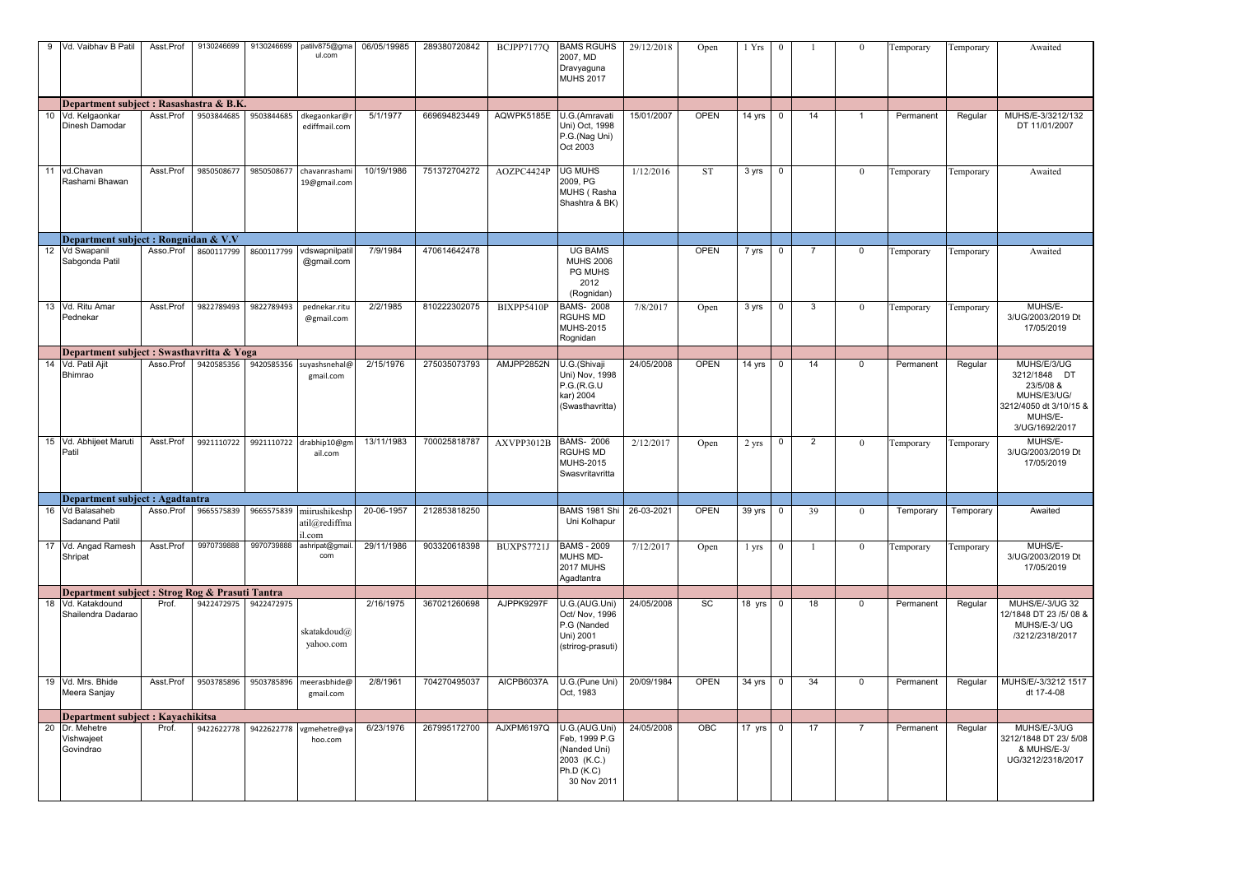|    | 9 Vd. Vaibhav B Patil                           | Asst.Prof | 9130246699            | 9130246699 | patilv875@gma<br>ul.com                             | 06/05/19985 | 289380720842 | BCJPP7177Q        | <b>BAMS RGUHS</b><br>2007, MD<br>Dravyaguna<br><b>MUHS 2017</b>                            | 29/12/2018 | Open        | 1 Yrs  | $\theta$    |                | $\bf{0}$       | Temporary | Temporary | Awaited                                                                                                        |
|----|-------------------------------------------------|-----------|-----------------------|------------|-----------------------------------------------------|-------------|--------------|-------------------|--------------------------------------------------------------------------------------------|------------|-------------|--------|-------------|----------------|----------------|-----------|-----------|----------------------------------------------------------------------------------------------------------------|
|    | Department subject : Rasashastra & B.K.         |           |                       |            |                                                     |             |              |                   |                                                                                            |            |             |        |             |                |                |           |           |                                                                                                                |
|    | 10 Vd. Kelgaonkar<br>Dinesh Damodar             | Asst.Prof | 9503844685            | 9503844685 | dkegaonkar@r<br>ediffmail.com                       | 5/1/1977    | 669694823449 | AQWPK5185E        | U.G.(Amravati<br>Uni) Oct, 1998<br>P.G.(Nag Uni)<br>Oct 2003                               | 15/01/2007 | <b>OPEN</b> | 14 yrs | $\mathbf 0$ | 14             | $\overline{1}$ | Permanent | Regular   | MUHS/E-3/3212/132<br>DT 11/01/2007                                                                             |
| 11 | vd.Chavan<br>Rashami Bhawan                     | Asst.Prof | 9850508677            | 9850508677 | chavanrashami<br>19@gmail.com                       | 10/19/1986  | 751372704272 | AOZPC4424P        | <b>UG MUHS</b><br>2009, PG<br>MUHS (Rasha<br>Shashtra & BK)                                | 1/12/2016  | <b>ST</b>   | 3 yrs  | $\mathbf 0$ |                | $\bf{0}$       | Temporary | Temporary | Awaited                                                                                                        |
|    | Department subject : Rongnidan & V.V            |           |                       |            |                                                     |             |              |                   |                                                                                            |            |             |        |             |                |                |           |           |                                                                                                                |
|    | 12 Vd Swapanil<br>Sabgonda Patil                | Asso.Prof | 8600117799            | 8600117799 | vdswapnilpatil<br>@gmail.com                        | 7/9/1984    | 470614642478 |                   | <b>UG BAMS</b><br><b>MUHS 2006</b><br><b>PG MUHS</b><br>2012<br>(Rognidan)                 |            | <b>OPEN</b> | 7 yrs  | $\Omega$    |                | $\mathbf 0$    | Temporary | Temporary | Awaited                                                                                                        |
|    | 13 Vd. Ritu Amar<br>Pednekar                    | Asst.Prof | 9822789493            | 9822789493 | pednekar.ritu<br>@gmail.com                         | 2/2/1985    | 810222302075 | BIXPP5410P        | <b>BAMS-2008</b><br><b>RGUHS MD</b><br><b>MUHS-2015</b><br>Rognidan                        | 7/8/2017   | Open        | 3 yrs  | $\mathbf 0$ | $\mathbf{3}$   | $\theta$       | Temporary | Temporary | MUHS/E-<br>3/UG/2003/2019 Dt<br>17/05/2019                                                                     |
|    | Department subject : Swasthavritta & Yoga       |           |                       |            |                                                     |             |              |                   |                                                                                            |            |             |        |             |                |                |           |           |                                                                                                                |
| 14 | Vd. Patil Ajit<br>Bhimrao                       | Asso.Prof | 9420585356            | 9420585356 | suyashsnehal@<br>gmail.com                          | 2/15/1976   | 275035073793 | AMJPP2852N        | U.G.(Shivaji<br>Uni) Nov, 1998<br>P.G.(R.G.U)<br>kar) 2004<br>(Swasthavritta)              | 24/05/2008 | <b>OPEN</b> | 14 yrs | $\Omega$    | 14             | $\mathbf 0$    | Permanent | Regular   | MUHS/E/3/UG<br>3212/1848 DT<br>23/5/08 &<br>MUHS/E3/UG/<br>3212/4050 dt 3/10/15 &<br>MUHS/E-<br>3/UG/1692/2017 |
|    | 15 Vd. Abhijeet Maruti<br>Patil                 | Asst.Prof |                       |            | 9921110722 9921110722 drabhip10@gm<br>ail.com       | 13/11/1983  | 700025818787 | AXVPP3012B        | <b>BAMS-2006</b><br><b>RGUHS MD</b><br><b>MUHS-2015</b><br>Swasvritavritta                 | 2/12/2017  | Open        | 2 yrs  | 0           | $\overline{2}$ | $\theta$       | Temporary | Temporary | MUHS/E-<br>3/UG/2003/2019 Dt<br>17/05/2019                                                                     |
|    | Department subject : Agadtantra                 |           |                       |            |                                                     |             |              |                   |                                                                                            |            |             |        |             |                |                |           |           |                                                                                                                |
|    | 16 Vd Balasaheb<br>Sadanand Patil               | Asso.Prof | 9665575839            |            | 9665575839 miirushikeshp<br>atil@rediffma<br>il.com | 20-06-1957  | 212853818250 |                   | BAMS 1981 Shi 26-03-2021<br>Uni Kolhapur                                                   |            | <b>OPEN</b> | 39 yrs | $\mathbf 0$ | 39             | $\theta$       | Temporary | Temporary | Awaited                                                                                                        |
|    | 17 Vd. Angad Ramesh<br>Shripat                  | Asst.Prof | 9970739888            | 9970739888 | ashripat@gmail<br>com                               | 29/11/1986  | 903320618398 | <b>BUXPS7721J</b> | <b>BAMS - 2009</b><br>MUHS MD-<br><b>2017 MUHS</b><br>Agadtantra                           | 7/12/2017  | Open        | 1 yrs  | $\theta$    |                | $\overline{0}$ | Temporary | Temporary | MUHS/E-<br>3/UG/2003/2019 Dt<br>17/05/2019                                                                     |
|    | Department subject : Strog Rog & Prasuti Tantra |           |                       |            |                                                     |             |              |                   |                                                                                            |            |             |        |             |                |                |           |           |                                                                                                                |
|    | 18 Vd. Katakdound<br>Shailendra Dadarao         | Prof.     | 9422472975 9422472975 |            | skatakdoud@<br>yahoo.com                            | 2/16/1975   | 367021260698 | AJPPK9297F        | U.G.(AUG.Uni)<br>Oct/ Nov, 1996<br>P.G (Nanded<br>Uni) 2001<br>(strirog-prasuti)           | 24/05/2008 | SC          | 18 yrs | $\mathbf 0$ | 18             | $\mathbf 0$    | Permanent | Regular   | <b>MUHS/E/-3/UG 32</b><br>12/1848 DT 23 /5/ 08 &<br>MUHS/E-3/UG<br>/3212/2318/2017                             |
|    | 19 Vd. Mrs. Bhide<br>Meera Sanjay               | Asst.Prof | 9503785896            | 9503785896 | meerasbhide@<br>gmail.com                           | 2/8/1961    | 704270495037 | AICPB6037A        | U.G.(Pune Uni)<br>Oct, 1983                                                                | 20/09/1984 | <b>OPEN</b> | 34 yrs | $\mathbf 0$ | 34             | 0              | Permanent | Regular   | MUHS/E/-3/3212 1517<br>dt 17-4-08                                                                              |
|    | Department subject : Kayachikitsa               |           |                       |            |                                                     |             |              |                   |                                                                                            |            |             |        |             |                |                |           |           |                                                                                                                |
|    | 20 Dr. Mehetre<br>Vishwajeet<br>Govindrao       | Prof.     | 9422622778            | 9422622778 | vgmehetre@ya<br>hoo.com                             | 6/23/1976   | 267995172700 | AJXPM6197Q        | U.G.(AUG.Uni)<br>Feb, 1999 P.G<br>(Nanded Uni)<br>2003 (K.C.)<br>Ph.D (K.C)<br>30 Nov 2011 | 24/05/2008 | OBC         | 17 yrs | $\mathbf 0$ | 17             | 7              | Permanent | Regular   | MUHS/E/-3/UG<br>3212/1848 DT 23/ 5/08<br>& MUHS/E-3/<br>UG/3212/2318/2017                                      |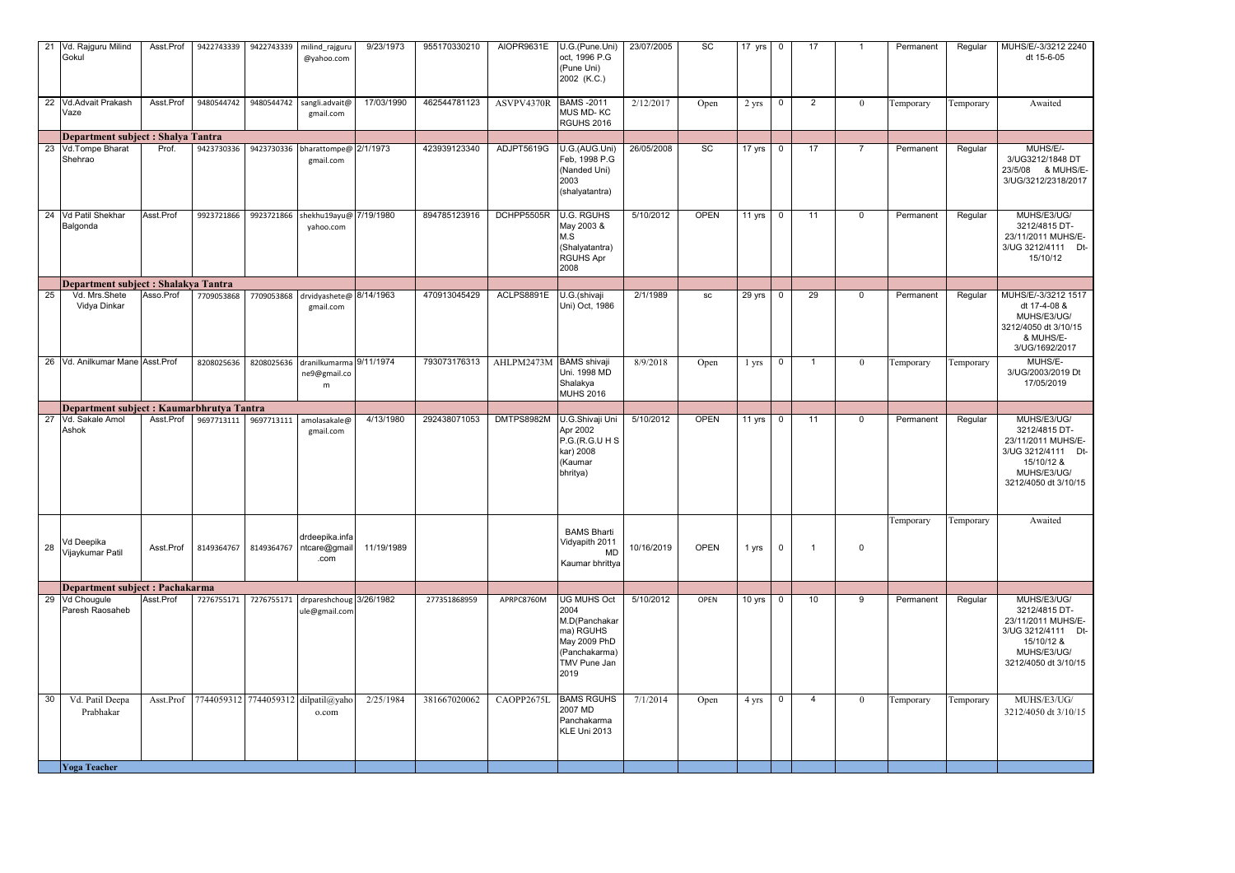|    | 21 Vd. Rajguru Milind<br>Gokul            | Asst.Prof | 9422743339 | 9422743339 | milind_rajguru<br>@yahoo.com                                 | 9/23/1973  | 955170330210 | AIOPR9631E              | U.G.(Pune.Uni)<br>oct, 1996 P.G<br>(Pune Uni)<br>2002 (K.C.)                                                      | 23/07/2005 | SC          | 17 $yrs$ | $\overline{0}$ | 17           |                | Permanent | Regular   | MUHS/E/-3/3212 2240<br>dt 15-6-05                                                                                             |
|----|-------------------------------------------|-----------|------------|------------|--------------------------------------------------------------|------------|--------------|-------------------------|-------------------------------------------------------------------------------------------------------------------|------------|-------------|----------|----------------|--------------|----------------|-----------|-----------|-------------------------------------------------------------------------------------------------------------------------------|
| 22 | Vd.Advait Prakash<br>Vaze                 | Asst.Prof | 9480544742 | 9480544742 | sangli.advait@<br>gmail.com                                  | 17/03/1990 | 462544781123 | ASVPV4370R              | <b>BAMS-2011</b><br><b>MUS MD-KC</b><br>RGUHS 2016                                                                | 2/12/2017  | Open        | 2 yrs    | 0              | $\mathbf{2}$ | $\theta$       | Temporary | Temporary | Awaited                                                                                                                       |
|    | Department subject : Shalya Tantra        |           |            |            |                                                              |            |              |                         |                                                                                                                   |            |             |          |                |              |                |           |           |                                                                                                                               |
|    | 23 Vd.Tompe Bharat<br>Shehrao             | Prof.     | 9423730336 |            | 9423730336 bharattompe@ 2/1/1973<br>gmail.com                |            | 423939123340 | ADJPT5619G              | U.G.(AUG.Uni)<br>Feb, 1998 P.G<br>(Nanded Uni)<br>2003<br>(shalyatantra)                                          | 26/05/2008 | SC          | 17 yrs   | $\overline{0}$ | 17           | $\overline{7}$ | Permanent | Regular   | MUHS/E/-<br>3/UG3212/1848 DT<br>23/5/08 & MUHS/E-<br>3/UG/3212/2318/2017                                                      |
|    | 24 Vd Patil Shekhar<br>Balgonda           | Asst Prof | 9923721866 |            | 9923721866 shekhu19ayu@ 7/19/1980<br>yahoo.com               |            | 894785123916 | DCHPP5505R              | <b>U.G. RGUHS</b><br>May 2003 &<br>M.S<br>(Shalyatantra)<br><b>RGUHS Apr</b><br>2008                              | 5/10/2012  | <b>OPEN</b> | 11 yrs   | $\overline{0}$ | 11           | $\mathbf 0$    | Permanent | Regular   | MUHS/E3/UG/<br>3212/4815 DT-<br>23/11/2011 MUHS/E-<br>3/UG 3212/4111 Dt-<br>15/10/12                                          |
|    | Department subject : Shalakya Tantra      |           |            |            |                                                              |            |              |                         |                                                                                                                   |            |             |          |                |              |                |           |           |                                                                                                                               |
| 25 | Vd. Mrs.Shete<br>Vidya Dinkar             | Asso.Prof | 7709053868 |            | 7709053868 drvidyashete@ 8/14/1963<br>gmail.com              |            | 470913045429 | ACLPS8891E              | U.G.(shivaji<br>Uni) Oct, 1986                                                                                    | 2/1/1989   | SC          | 29 yrs   | $\overline{0}$ | 29           | $\mathbf{0}$   | Permanent | Regular   | MUHS/E/-3/3212 1517<br>dt 17-4-08 &<br>MUHS/E3/UG/<br>3212/4050 dt 3/10/15<br>& MUHS/E-<br>3/UG/1692/2017                     |
|    | 26 Vd. Anilkumar Mane Asst Prof           |           | 8208025636 |            | 8208025636 dranilkumarma 9/11/1974<br>ne9@gmail.co<br>m      |            | 793073176313 | AHLPM2473M BAMS shivaji | Uni. 1998 MD<br>Shalakya<br><b>MUHS 2016</b>                                                                      | 8/9/2018   | Open        | 1 yrs    | 0              | $\mathbf{1}$ | $\bf{0}$       | Temporary | Temporary | MUHS/E-<br>3/UG/2003/2019 Dt<br>17/05/2019                                                                                    |
|    | Department subject : Kaumarbhrutya Tantra |           |            |            |                                                              |            |              |                         |                                                                                                                   |            |             |          |                |              |                |           |           |                                                                                                                               |
| 27 | Vd. Sakale Amol<br>Ashok                  | Asst.Prof | 9697713111 | 9697713111 | amolasakale@<br>gmail.com                                    | 4/13/1980  | 292438071053 | DMTPS8982M              | U.G.Shivaji Uni<br>Apr 2002<br>P.G (R.G.U H S)<br>kar) 2008<br>(Kaumar<br>bhritya)                                | 5/10/2012  | <b>OPEN</b> | 11 yrs   | $\overline{0}$ | 11           | $\mathbf{0}$   | Permanent | Regular   | MUHS/E3/UG/<br>3212/4815 DT-<br>23/11/2011 MUHS/E-<br>3/UG 3212/4111 Dt-<br>15/10/12 &<br>MUHS/E3/UG/<br>3212/4050 dt 3/10/15 |
| 28 | Vd Deepika<br>Vijaykumar Patil            | Asst.Prof |            |            | drdeepika.infa<br>8149364767 8149364767 ntcare@gmail<br>.com | 11/19/1989 |              |                         | <b>BAMS Bharti</b><br>Vidyapith 2011<br>MD<br>Kaumar bhrittya                                                     | 10/16/2019 | <b>OPEN</b> | 1 yrs    | $\mathbf 0$    | -1           | $\mathbf 0$    | Temporary | Temporary | Awaited                                                                                                                       |
|    | Department subject : Pachakarma           |           |            |            |                                                              |            |              |                         |                                                                                                                   |            |             |          |                |              |                |           |           |                                                                                                                               |
|    | 29 Vd Chougule<br>Paresh Raosaheb         | Asst.Prof | 7276755171 | 7276755171 | drpareshchoug 3/26/1982<br>ule@gmail.com                     |            | 277351868959 | APRPC8760M              | <b>UG MUHS Oct</b><br>2004<br>M.D(Panchakar<br>ma) RGUHS<br>May 2009 PhD<br>(Panchakarma)<br>TMV Pune Jan<br>2019 | 5/10/2012  | OPEN        | 10 yrs   | $\overline{0}$ | 10           | 9              | Permanent | Regular   | MUHS/E3/UG/<br>3212/4815 DT-<br>23/11/2011 MUHS/E-<br>3/UG 3212/4111 Dt-<br>15/10/12 &<br>MUHS/E3/UG/<br>3212/4050 dt 3/10/15 |
| 30 | Vd. Patil Deepa<br>Prabhakar              | Asst.Prof |            |            | 7744059312 7744059312 dilpatil@yaho<br>o.com                 | 2/25/1984  | 381667020062 | CAOPP2675L              | <b>BAMS RGUHS</b><br>2007 MD<br>Panchakarma<br>KLE Uni 2013                                                       | 7/1/2014   | Open        | 4 yrs    | $\mathbf 0$    | 4            | $\theta$       | Temporary | Temporary | MUHS/E3/UG/<br>3212/4050 dt 3/10/15                                                                                           |
|    | <b>Yoga Teacher</b>                       |           |            |            |                                                              |            |              |                         |                                                                                                                   |            |             |          |                |              |                |           |           |                                                                                                                               |